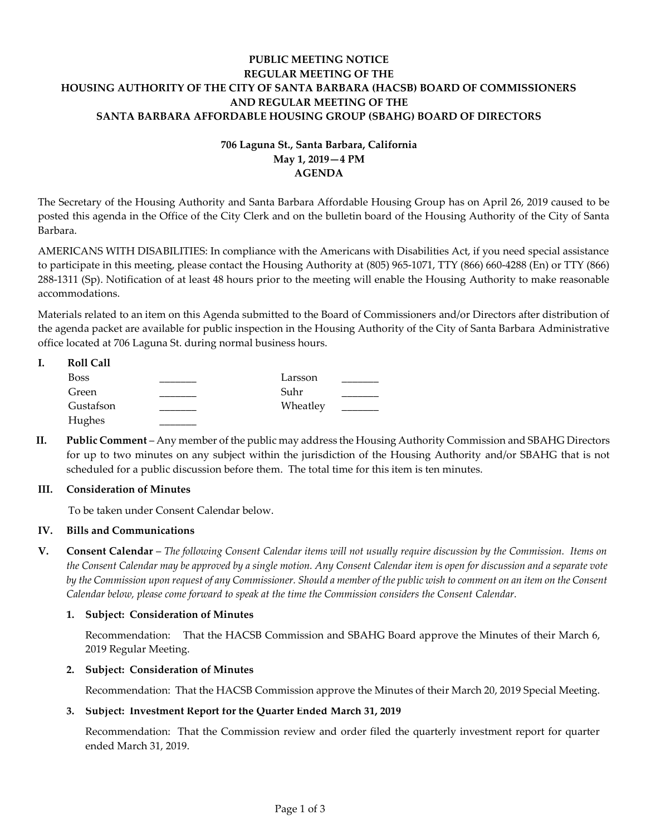## **PUBLIC MEETING NOTICE REGULAR MEETING OF THE HOUSING AUTHORITY OF THE CITY OF SANTA BARBARA (HACSB) BOARD OF COMMISSIONERS AND REGULAR MEETING OF THE SANTA BARBARA AFFORDABLE HOUSING GROUP (SBAHG) BOARD OF DIRECTORS**

# **706 Laguna St., Santa Barbara, California May 1, 2019—4 PM AGENDA**

The Secretary of the Housing Authority and Santa Barbara Affordable Housing Group has on April 26, 2019 caused to be posted this agenda in the Office of the City Clerk and on the bulletin board of the Housing Authority of the City of Santa Barbara.

AMERICANS WITH DISABILITIES: In compliance with the Americans with Disabilities Act, if you need special assistance to participate in this meeting, please contact the Housing Authority at (805) 965-1071, TTY (866) 660-4288 (En) or TTY (866) 288-1311 (Sp). Notification of at least 48 hours prior to the meeting will enable the Housing Authority to make reasonable accommodations.

Materials related to an item on this Agenda submitted to the Board of Commissioners and/or Directors after distribution of the agenda packet are available for public inspection in the Housing Authority of the City of Santa Barbara Administrative office located at 706 Laguna St. during normal business hours.

| <b>Roll Call</b> |          |  |
|------------------|----------|--|
| <b>Boss</b>      | Larsson  |  |
| Green            | Suhr     |  |
| Gustafson        | Wheatley |  |
| Hughes           |          |  |

**II. Public Comment** – Any member of the public may address the Housing Authority Commission and SBAHG Directors for up to two minutes on any subject within the jurisdiction of the Housing Authority and/or SBAHG that is not scheduled for a public discussion before them. The total time for this item is ten minutes.

## **III. Consideration of Minutes**

To be taken under Consent Calendar below.

## **IV. Bills and Communications**

**V. Consent Calendar** – *The following Consent Calendar items will not usually require discussion by the Commission. Items on the Consent Calendar may be approved by a single motion. Any Consent Calendar item is open for discussion and a separate vote by the Commission upon request of any Commissioner. Should a member of the public wish to comment on an item on the Consent Calendar below, please come forward to speak at the time the Commission considers the Consent Calendar.*

## **1. Subject: Consideration of Minutes**

[Recommendation: That the HACSB Commission and SBAHG Board approve the Minutes of their March](https://hacsb.org/download/meetings_2019/items/05_april/Item-V.1.pdf) 6, 2019 Regular Meeting.

## **2. Subject: Consideration of Minutes**

[Recommendation: That the HACSB Commission approve the Minutes of their March 20, 2019 Special](https://hacsb.org/download/meetings_2019/items/05_april/Item-V.2.pdf) Meeting.

## **3. Subject: Investment Report for the Quarter Ended March 31, 2019**

[Recommendation: That the Commission review and order filed the quarterly investment report for quarter](https://hacsb.org/download/meetings_2019/items/05_april/Item-V.3.pdf)  ended March 31, 2019.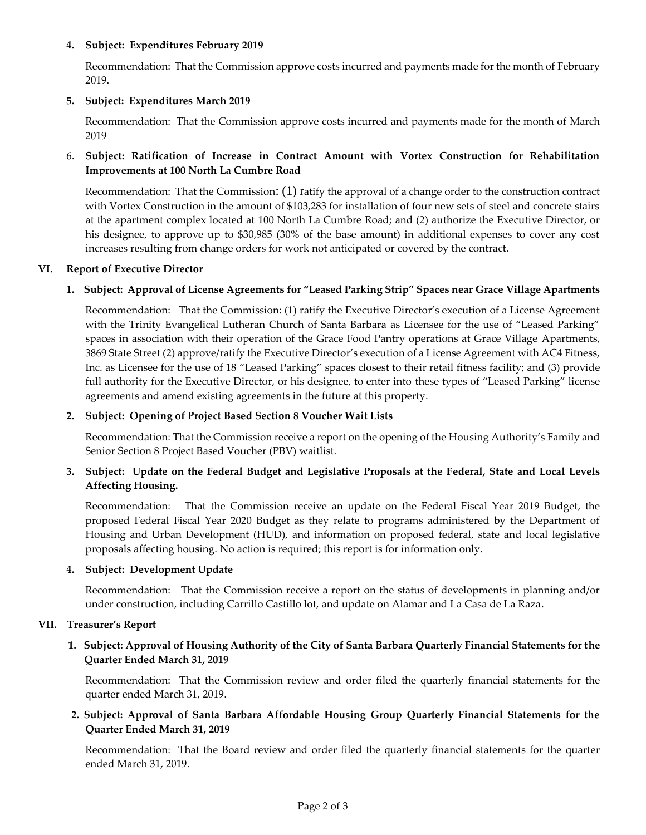### **4. Subject: Expenditures February 2019**

[Recommendation: That the Commission approve costs incurred and payments made for the month of February](https://hacsb.org/download/meetings_2019/items/05_april/Item-V.4.pdf) 2019.

### **5. Subject: Expenditures March 2019**

[Recommendation: That the Commission approve costs incurred and payments made for the month of March](https://hacsb.org/download/meetings_2019/items/05_april/Item-V.5.pdf)  2019

## 6. **Subject: Ratification of Increase in Contract Amount with Vortex Construction for Rehabilitation Improvements at 100 North La Cumbre Road**

Recommendation: That the Commission: (1) ratify the approval of a change order to the construction contract with Vortex Construction in the amount of \$103,283 for installation of four new sets of steel and concrete stairs [at the apartment complex located at 100 North La Cumbre Road; and \(2\) authorize the Executive Director, or](https://hacsb.org/download/meetings_2019/items/05_april/Item-V.6.pdf)  his designee, to approve up to \$30,985 (30% of the base amount) in additional expenses to cover any cost increases resulting from change orders for work not anticipated or covered by the contract.

### **VI. Report of Executive Director**

## **1. Subject: Approval of License Agreements for "Leased Parking Strip" Spaces near Grace Village Apartments**

Recommendation: That the Commission: (1) ratify the Executive Director's execution of a License Agreement with [the Trinity Evangelical Lutheran Church of Santa Barbara as Licensee for the use of "Leased Parking"](https://hacsb.org/download/meetings_2019/items/05_april/Item-VI.1.pdf)  spaces in association with their operation of the Grace Food Pantry operations at Grace Village Apartments, 3869 State Street (2) approve/ratify the Executive Director's execution of a License Agreement with AC4 Fitness, Inc. as Licensee for the use of 18 "Leased Parking" spaces closest to their retail fitness facility; and (3) provide full authority for the Executive Director, or his designee, to enter into these types of "Leased Parking" license agreements and amend existing agreements in the future at this property.

### **2. Subject: Opening of Project Based Section 8 Voucher Wait Lists**

[Recommendation: That the Commission receive a report on the opening of th](https://hacsb.org/download/meetings_2019/items/05_april/Item-VI.2.pdf)e Housing Authority's Family and Senior Section 8 Project Based Voucher (PBV) waitlist.

## **[3. Subject: Update on the Federal Budget and Legislative Proposals at the Federal, State and Local Levels](https://hacsb.org/download/meetings_2019/items/05_april/Item-VI.3.pdf)  Affecting Housing.**

Recommendation: That the Commission receive an update on the Federal Fiscal Year 2019 Budget, the proposed Federal Fiscal Year 2020 Budget as they relate to programs administered by the Department of Housing and Urban Development (HUD), and information on proposed federal, state and local legislative proposals affecting housing. No action is required; this report is for information only.

### **4. Subject: Development Update**

Recommendation: That the Commission receive a report on the status of developments in planning and/or under construction, including Carrillo Castillo lot, and update on Alamar and La Casa de La Raza.

### **VII. Treasurer's Report**

## **[1. Subject: Approval of Housing Authority of the City of Santa Barbara Quarterly Financial Statements for the](https://hacsb.org/download/meetings_2019/items/05_april/Item-VII.1.pdf)  Quarter Ended March 31, 2019**

Recommendation: That the Commission review and order filed the quarterly financial statements for the quarter ended March 31, 2019.

## **[2. Subject: Approval of Santa Barbara Affordable Housing Group Quarterly Financial Statements for the](https://hacsb.org/download/meetings_2019/items/05_april/Item-VII.2.pdf)  Quarter Ended March 31, 2019**

Recommendation: That the Board review and order filed the quarterly financial statements for the quarter ended March 31, 2019.